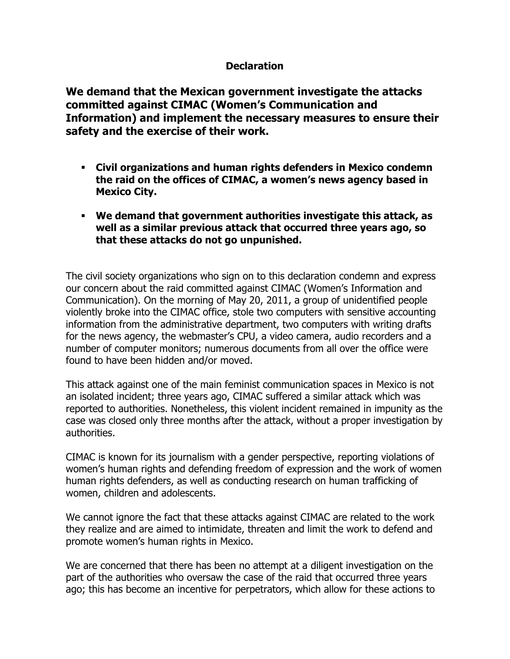## **Declaration**

**We demand that the Mexican government investigate the attacks committed against CIMAC (Women's Communication and Information) and implement the necessary measures to ensure their safety and the exercise of their work.** 

- **Civil organizations and human rights defenders in Mexico condemn the raid on the offices of CIMAC, a women's news agency based in Mexico City.**
- **We demand that government authorities investigate this attack, as well as a similar previous attack that occurred three years ago, so that these attacks do not go unpunished.**

The civil society organizations who sign on to this declaration condemn and express our concern about the raid committed against CIMAC (Women's Information and Communication). On the morning of May 20, 2011, a group of unidentified people violently broke into the CIMAC office, stole two computers with sensitive accounting information from the administrative department, two computers with writing drafts for the news agency, the webmaster's CPU, a video camera, audio recorders and a number of computer monitors; numerous documents from all over the office were found to have been hidden and/or moved.

This attack against one of the main feminist communication spaces in Mexico is not an isolated incident; three years ago, CIMAC suffered a similar attack which was reported to authorities. Nonetheless, this violent incident remained in impunity as the case was closed only three months after the attack, without a proper investigation by authorities.

CIMAC is known for its journalism with a gender perspective, reporting violations of women's human rights and defending freedom of expression and the work of women human rights defenders, as well as conducting research on human trafficking of women, children and adolescents.

We cannot ignore the fact that these attacks against CIMAC are related to the work they realize and are aimed to intimidate, threaten and limit the work to defend and promote women's human rights in Mexico.

We are concerned that there has been no attempt at a diligent investigation on the part of the authorities who oversaw the case of the raid that occurred three years ago; this has become an incentive for perpetrators, which allow for these actions to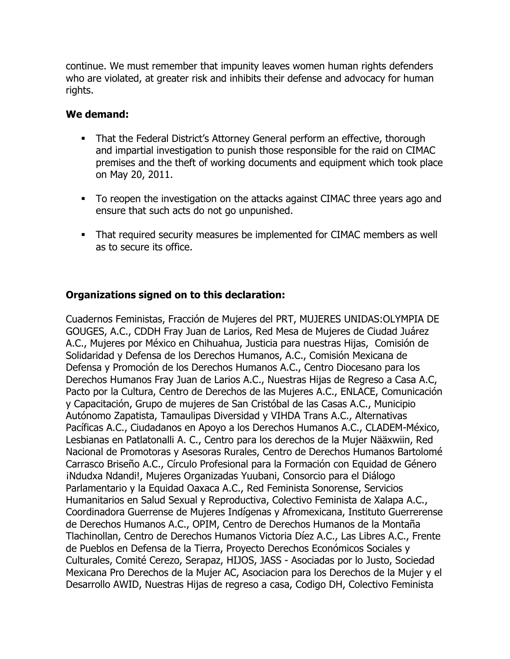continue. We must remember that impunity leaves women human rights defenders who are violated, at greater risk and inhibits their defense and advocacy for human rights.

## **We demand:**

- That the Federal District's Attorney General perform an effective, thorough and impartial investigation to punish those responsible for the raid on CIMAC premises and the theft of working documents and equipment which took place on May 20, 2011.
- To reopen the investigation on the attacks against CIMAC three years ago and ensure that such acts do not go unpunished.
- That required security measures be implemented for CIMAC members as well as to secure its office.

## **Organizations signed on to this declaration:**

Cuadernos Feministas, Fracción de Mujeres del PRT, MUJERES UNIDAS:OLYMPIA DE GOUGES, A.C., CDDH Fray Juan de Larios, Red Mesa de Mujeres de Ciudad Juárez A.C., Mujeres por México en Chihuahua, Justicia para nuestras Hijas, Comisión de Solidaridad y Defensa de los Derechos Humanos, A.C., Comisión Mexicana de Defensa y Promoción de los Derechos Humanos A.C., Centro Diocesano para los Derechos Humanos Fray Juan de Larios A.C., Nuestras Hijas de Regreso a Casa A.C, Pacto por la Cultura, Centro de Derechos de las Mujeres A.C., ENLACE, Comunicación y Capacitación, Grupo de mujeres de San Cristóbal de las Casas A.C., Municipio Autónomo Zapatista, Tamaulipas Diversidad y VIHDA Trans A.C., Alternativas Pacíficas A.C., Ciudadanos en Apoyo a los Derechos Humanos A.C., CLADEM-México, Lesbianas en Patlatonalli A. C., Centro para los derechos de la Mujer Nääxwiin, Red Nacional de Promotoras y Asesoras Rurales, Centro de Derechos Humanos Bartolomé Carrasco Briseño A.C., Círculo Profesional para la Formación con Equidad de Género ¡Ndudxa Ndandi!, Mujeres Organizadas Yuubani, Consorcio para el Diálogo Parlamentario y la Equidad Oaxaca A.C., Red Feminista Sonorense, Servicios Humanitarios en Salud Sexual y Reproductiva, Colectivo Feminista de Xalapa A.C., Coordinadora Guerrense de Mujeres Indígenas y Afromexicana, Instituto Guerrerense de Derechos Humanos A.C., OPIM, Centro de Derechos Humanos de la Montaña Tlachinollan, Centro de Derechos Humanos Victoria Díez A.C., Las Libres A.C., Frente de Pueblos en Defensa de la Tierra, Proyecto Derechos Económicos Sociales y Culturales, Comité Cerezo, Serapaz, HIJOS, JASS - Asociadas por lo Justo, Sociedad Mexicana Pro Derechos de la Mujer AC, Asociacion para los Derechos de la Mujer y el Desarrollo AWID, Nuestras Hijas de regreso a casa, Codigo DH, Colectivo Feminista